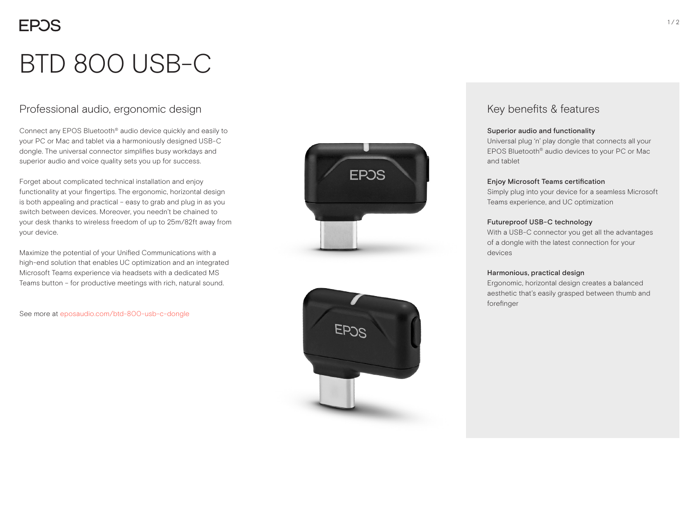# BTD 800 USB-C

# Professional audio, ergonomic design

Connect any EPOS Bluetooth® audio device quickly and easily to your PC or Mac and tablet via a harmoniously designed USB-C dongle. The universal connector simplifies busy workdays and superior audio and voice quality sets you up for success.

Forget about complicated technical installation and enjoy functionality at your fingertips. The ergonomic, horizontal design is both appealing and practical – easy to grab and plug in as you switch between devices. Moreover, you needn't be chained to your desk thanks to wireless freedom of up to 25m/82ft away from your device.

Maximize the potential of your Unified Communications with a high-end solution that enables UC optimization and an integrated Microsoft Teams experience via headsets with a dedicated MS Teams button – for productive meetings with rich, natural sound.

See more at eposaudio.com/btd-800-usb-c-dongle





# Key benefits & features

#### Superior audio and functionality

Universal plug 'n' play dongle that connects all your EPOS Bluetooth® audio devices to your PC or Mac and tablet

#### Enjoy Microsoft Teams certification

Simply plug into your device for a seamless Microsoft Teams experience, and UC optimization

#### Futureproof USB-C technology

With a USB-C connector you get all the advantages of a dongle with the latest connection for your devices

#### Harmonious, practical design

Ergonomic, horizontal design creates a balanced aesthetic that's easily grasped between thumb and forefinger